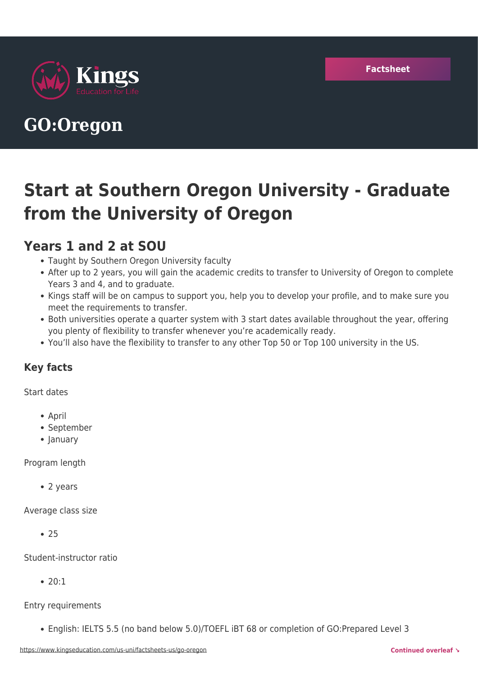

# **GO:Oregon**

# **Start at Southern Oregon University - Graduate from the University of Oregon**

## **Years 1 and 2 at SOU**

- Taught by Southern Oregon University faculty
- After up to 2 years, you will gain the academic credits to transfer to University of Oregon to complete Years 3 and 4, and to graduate.
- Kings staff will be on campus to support you, help you to develop your profile, and to make sure you meet the requirements to transfer.
- Both universities operate a quarter system with 3 start dates available throughout the year, offering you plenty of flexibility to transfer whenever you're academically ready.
- You'll also have the flexibility to transfer to any other Top 50 or Top 100 university in the US.

### **Key facts**

Start dates

- April
- September
- January

Program length

• 2 years

Average class size

 $• 25$ 

Student-instructor ratio

• 20:1

Entry requirements

English: IELTS 5.5 (no band below 5.0)/TOEFL iBT 68 or completion of GO:Prepared Level 3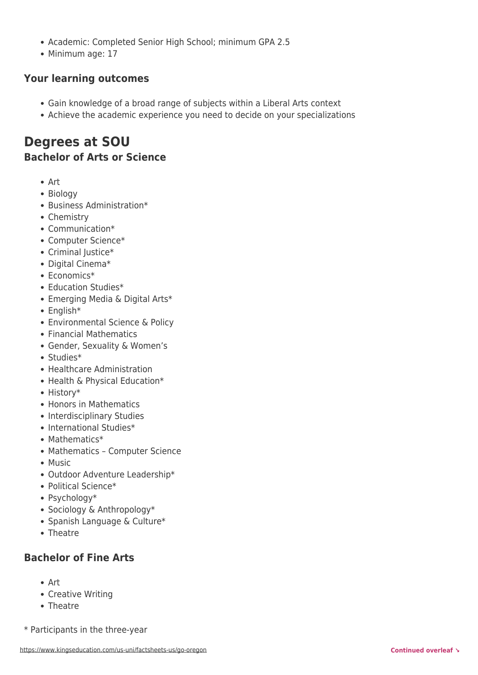- Academic: Completed Senior High School; minimum GPA 2.5
- Minimum age: 17

#### **Your learning outcomes**

- Gain knowledge of a broad range of subjects within a Liberal Arts context
- Achieve the academic experience you need to decide on your specializations

### **Degrees at SOU Bachelor of Arts or Science**

- Art
- Biology
- Business Administration\*
- Chemistry
- Communication\*
- Computer Science\*
- Criminal Justice\*
- Digital Cinema\*
- Economics\*
- Education Studies\*
- Emerging Media & Digital Arts\*
- English\*
- Environmental Science & Policy
- Financial Mathematics
- Gender, Sexuality & Women's
- Studies\*
- Healthcare Administration
- Health & Physical Education\*
- History\*
- Honors in Mathematics
- Interdisciplinary Studies
- International Studies\*
- Mathematics\*
- Mathematics Computer Science
- Music
- Outdoor Adventure Leadership\*
- Political Science\*
- Psychology\*
- Sociology & Anthropology\*
- Spanish Language & Culture\*
- Theatre

#### **Bachelor of Fine Arts**

- Art
- Creative Writing
- Theatre
- \* Participants in the three-year